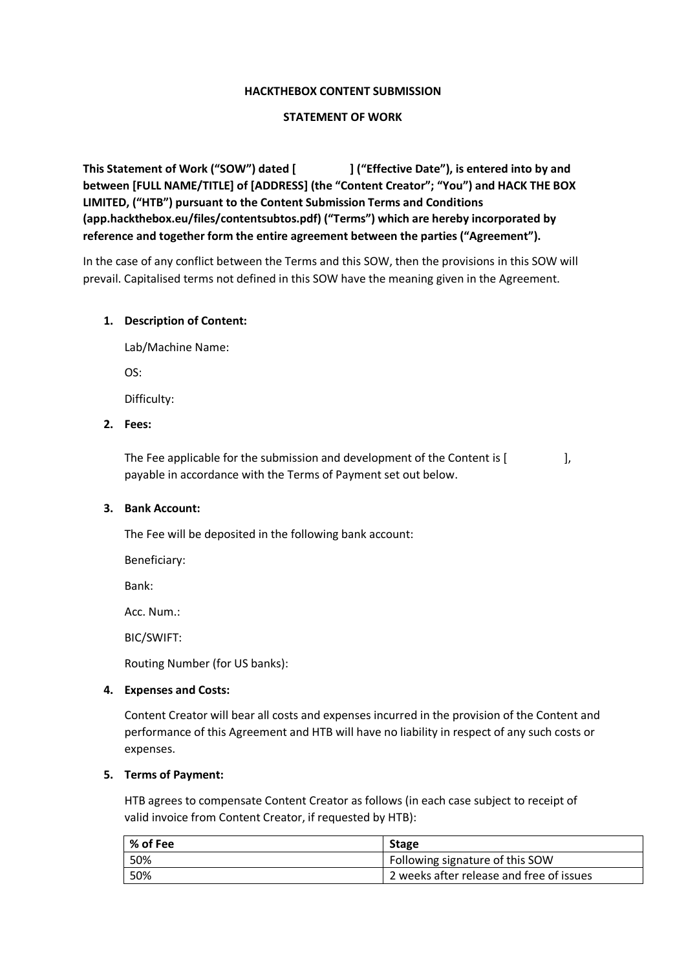### **HACKTHEBOX CONTENT SUBMISSION**

### **STATEMENT OF WORK**

**This Statement of Work ("SOW") dated [ ] ("Effective Date"), is entered into by and between [FULL NAME/TITLE] of [ADDRESS] (the "Content Creator"; "You") and HACK THE BOX LIMITED, ("HTB") pursuant to the Content Submission Terms and Conditions (app.hackthebox.eu/files/contentsubtos.pdf) ("Terms") which are hereby incorporated by reference and together form the entire agreement between the parties ("Agreement").**

In the case of any conflict between the Terms and this SOW, then the provisions in this SOW will prevail. Capitalised terms not defined in this SOW have the meaning given in the Agreement.

### **1. Description of Content:**

Lab/Machine Name: OS:

Difficulty:

# **2. Fees:**

The Fee applicable for the submission and development of the Content is [ payable in accordance with the Terms of Payment set out below.

#### **3. Bank Account:**

The Fee will be deposited in the following bank account:

Beneficiary:

Bank:

Acc. Num.:

BIC/SWIFT:

Routing Number (for US banks):

#### **4. Expenses and Costs:**

Content Creator will bear all costs and expenses incurred in the provision of the Content and performance of this Agreement and HTB will have no liability in respect of any such costs or expenses.

### **5. Terms of Payment:**

HTB agrees to compensate Content Creator as follows (in each case subject to receipt of valid invoice from Content Creator, if requested by HTB):

| % of Fee | <b>Stage</b>                             |
|----------|------------------------------------------|
| 50%      | Following signature of this SOW          |
| 50%      | 2 weeks after release and free of issues |